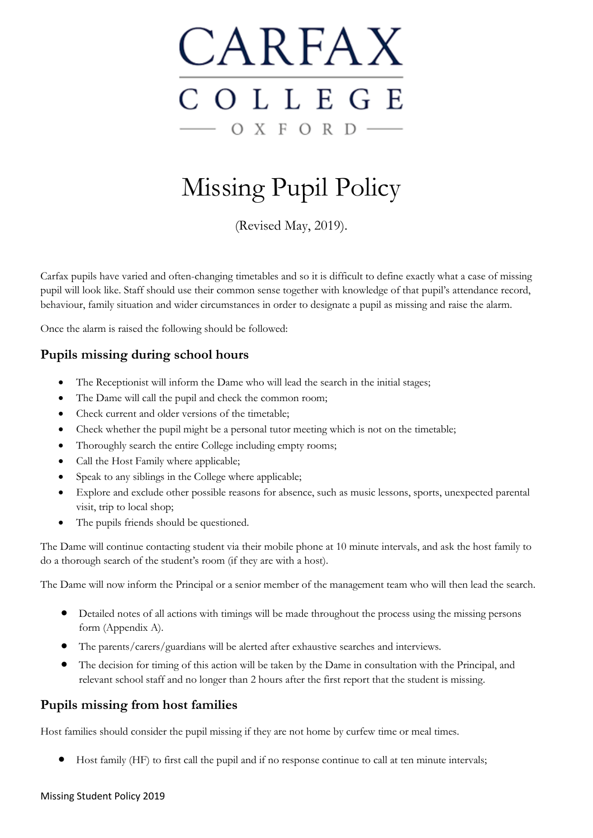

# Missing Pupil Policy

(Revised May, 2019).

Carfax pupils have varied and often-changing timetables and so it is difficult to define exactly what a case of missing pupil will look like. Staff should use their common sense together with knowledge of that pupil's attendance record, behaviour, family situation and wider circumstances in order to designate a pupil as missing and raise the alarm.

Once the alarm is raised the following should be followed:

# **Pupils missing during school hours**

- The Receptionist will inform the Dame who will lead the search in the initial stages;
- The Dame will call the pupil and check the common room;
- Check current and older versions of the timetable;
- Check whether the pupil might be a personal tutor meeting which is not on the timetable;
- Thoroughly search the entire College including empty rooms;
- Call the Host Family where applicable;
- Speak to any siblings in the College where applicable;
- Explore and exclude other possible reasons for absence, such as music lessons, sports, unexpected parental visit, trip to local shop;
- The pupils friends should be questioned.

The Dame will continue contacting student via their mobile phone at 10 minute intervals, and ask the host family to do a thorough search of the student's room (if they are with a host).

The Dame will now inform the Principal or a senior member of the management team who will then lead the search.

- Detailed notes of all actions with timings will be made throughout the process using the missing persons form (Appendix A).
- The parents/carers/guardians will be alerted after exhaustive searches and interviews.
- The decision for timing of this action will be taken by the Dame in consultation with the Principal, and relevant school staff and no longer than 2 hours after the first report that the student is missing.

### **Pupils missing from host families**

Host families should consider the pupil missing if they are not home by curfew time or meal times.

• Host family (HF) to first call the pupil and if no response continue to call at ten minute intervals;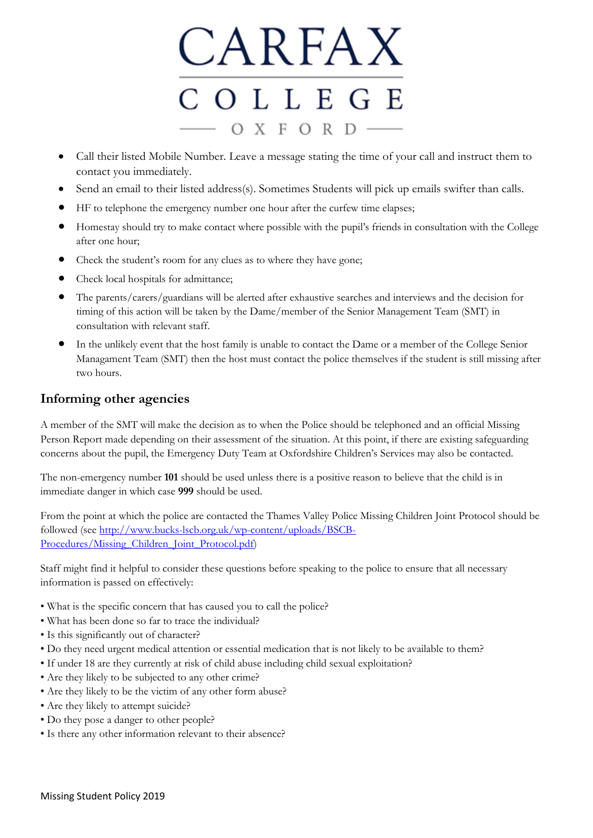

- Call their listed Mobile Number. Leave a message stating the time of your call and instruct them to contact you immediately.
- Send an email to their listed address(s). Sometimes Students will pick up emails swifter than calls.
- HF to telephone the emergency number one hour after the curfew time elapses;
- Homestay should try to make contact where possible with the pupil's friends in consultation with the College after one hour;
- Check the student's room for any clues as to where they have gone;
- Check local hospitals for admittance;
- The parents/carers/guardians will be alerted after exhaustive searches and interviews and the decision for timing of this action will be taken by the Dame/member of the Senior Management Team (SMT) in consultation with relevant staff.
- In the unlikely event that the host family is unable to contact the Dame or a member of the College Senior Managament Team (SMT) then the host must contact the police themselves if the student is still missing after two hours.

# **Informing other agencies**

A member of the SMT will make the decision as to when the Police should be telephoned and an official Missing Person Report made depending on their assessment of the situation. At this point, if there are existing safeguarding concerns about the pupil, the Emergency Duty Team at Oxfordshire Children's Services may also be contacted.

The non-emergency number **101** should be used unless there is a positive reason to believe that the child is in immediate danger in which case **999** should be used.

From the point at which the police are contacted the Thames Valley Police Missing Children Joint Protocol should be followed (see [http://www.bucks-lscb.org.uk/wp-content/uploads/BSCB-](http://www.bucks-lscb.org.uk/wp-content/uploads/BSCB-Procedures/Missing_Children_Joint_Protocol.pdf)[Procedures/Missing\\_Children\\_Joint\\_Protocol.pdf\)](http://www.bucks-lscb.org.uk/wp-content/uploads/BSCB-Procedures/Missing_Children_Joint_Protocol.pdf)

Staff might find it helpful to consider these questions before speaking to the police to ensure that all necessary information is passed on effectively:

- What is the specific concern that has caused you to call the police?
- What has been done so far to trace the individual?
- Is this significantly out of character?
- Do they need urgent medical attention or essential medication that is not likely to be available to them?
- If under 18 are they currently at risk of child abuse including child sexual exploitation?
- Are they likely to be subjected to any other crime?
- Are they likely to be the victim of any other form abuse?
- Are they likely to attempt suicide?
- Do they pose a danger to other people?
- Is there any other information relevant to their absence?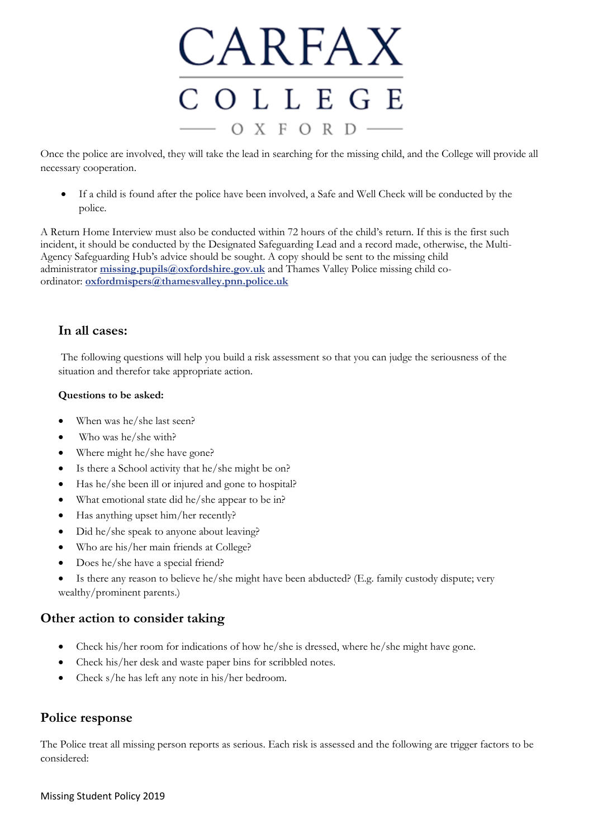

Once the police are involved, they will take the lead in searching for the missing child, and the College will provide all necessary cooperation.

• If a child is found after the police have been involved, a Safe and Well Check will be conducted by the police.

A Return Home Interview must also be conducted within 72 hours of the child's return. If this is the first such incident, it should be conducted by the Designated Safeguarding Lead and a record made, otherwise, the Multi-Agency Safeguarding Hub's advice should be sought. A copy should be sent to the missing child administrator **[missing.pupils@oxfordshire.gov.uk](mailto:missing.pupils@oxfordshire.gov.uk)** and Thames Valley Police missing child coordinator: **[oxfordmispers@thamesvalley.pnn.police.uk](mailto:oxfordmispers@thamesvalley.pnn.police.uk)**

#### **In all cases:**

The following questions will help you build a risk assessment so that you can judge the seriousness of the situation and therefor take appropriate action.

#### **Questions to be asked:**

- When was he/she last seen?
- Who was he/she with?
- Where might he/she have gone?
- Is there a School activity that he/she might be on?
- Has he/she been ill or injured and gone to hospital?
- What emotional state did he/she appear to be in?
- Has anything upset him/her recently?
- Did he/she speak to anyone about leaving?
- Who are his/her main friends at College?
- Does he/she have a special friend?
- Is there any reason to believe he/she might have been abducted? (E.g. family custody dispute; very wealthy/prominent parents.)

#### **Other action to consider taking**

- Check his/her room for indications of how he/she is dressed, where he/she might have gone.
- Check his/her desk and waste paper bins for scribbled notes.
- Check s/he has left any note in his/her bedroom.

#### **Police response**

The Police treat all missing person reports as serious. Each risk is assessed and the following are trigger factors to be considered: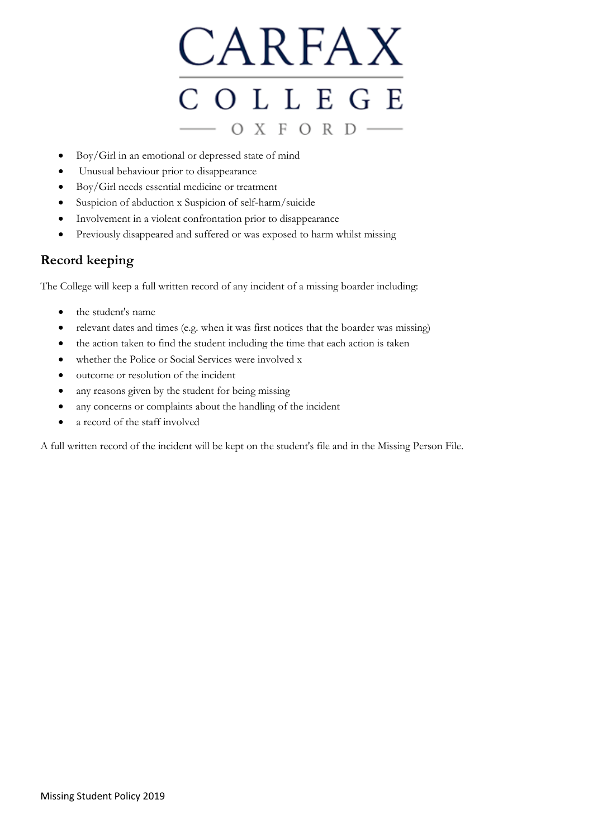# CARFAX COLLEGE  $O X F O R D$   $-$

- Boy/Girl in an emotional or depressed state of mind
- Unusual behaviour prior to disappearance
- Boy/Girl needs essential medicine or treatment
- Suspicion of abduction x Suspicion of self-harm/suicide
- Involvement in a violent confrontation prior to disappearance
- Previously disappeared and suffered or was exposed to harm whilst missing

# **Record keeping**

The College will keep a full written record of any incident of a missing boarder including:

- the student's name
- relevant dates and times (e.g. when it was first notices that the boarder was missing)
- the action taken to find the student including the time that each action is taken
- whether the Police or Social Services were involved x
- outcome or resolution of the incident
- any reasons given by the student for being missing
- any concerns or complaints about the handling of the incident
- a record of the staff involved

A full written record of the incident will be kept on the student's file and in the Missing Person File.